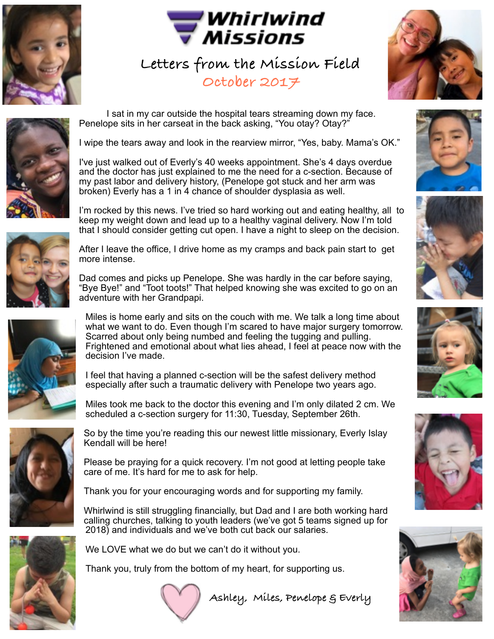



**Letters from the Mission Field October 2017** 





 I sat in my car outside the hospital tears streaming down my face. Penelope sits in her carseat in the back asking, "You otay? Otay?"

I wipe the tears away and look in the rearview mirror, "Yes, baby. Mama's OK."

I've just walked out of Everly's 40 weeks appointment. She's 4 days overdue and the doctor has just explained to me the need for a c-section. Because of my past labor and delivery history, (Penelope got stuck and her arm was broken) Everly has a 1 in 4 chance of shoulder dysplasia as well.

I'm rocked by this news. I've tried so hard working out and eating healthy, all to keep my weight down and lead up to a healthy vaginal delivery. Now I'm told that I should consider getting cut open. I have a night to sleep on the decision.



After I leave the office, I drive home as my cramps and back pain start to get more intense.

Dad comes and picks up Penelope. She was hardly in the car before saying, "Bye Bye!" and "Toot toots!" That helped knowing she was excited to go on an adventure with her Grandpapi.



Miles is home early and sits on the couch with me. We talk a long time about what we want to do. Even though I'm scared to have major surgery tomorrow. Scarred about only being numbed and feeling the tugging and pulling. Frightened and emotional about what lies ahead, I feel at peace now with the decision I've made.

I feel that having a planned c-section will be the safest delivery method especially after such a traumatic delivery with Penelope two years ago.

Miles took me back to the doctor this evening and I'm only dilated 2 cm. We scheduled a c-section surgery for 11:30, Tuesday, September 26th.



So by the time you're reading this our newest little missionary, Everly Islay Kendall will be here!

Please be praying for a quick recovery. I'm not good at letting people take care of me. It's hard for me to ask for help.

Thank you for your encouraging words and for supporting my family.

Whirlwind is still struggling financially, but Dad and I are both working hard calling churches, talking to youth leaders (we've got 5 teams signed up for 2018) and individuals and we've both cut back our salaries.



We LOVE what we do but we can't do it without you.

Thank you, truly from the bottom of my heart, for supporting us.



 **Ashley, Miles, Penelope & Everly**